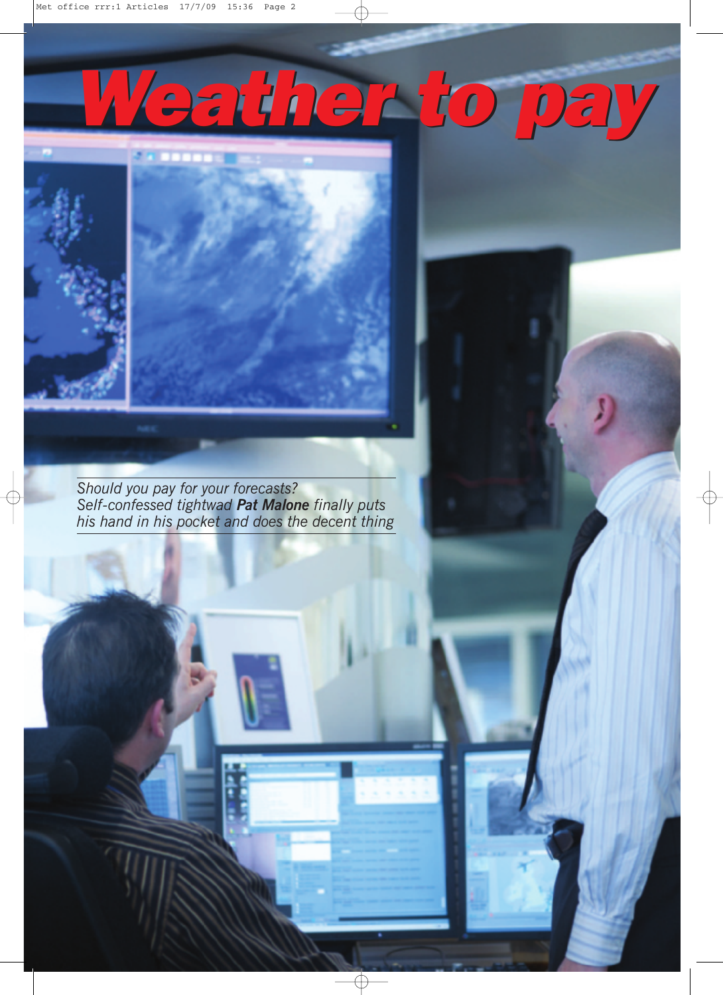## *Weather to pay*



*Should you pay for your forecasts? Self-confessed tightwad Pat Malone finally puts his hand in his pocket and does the decent thing*